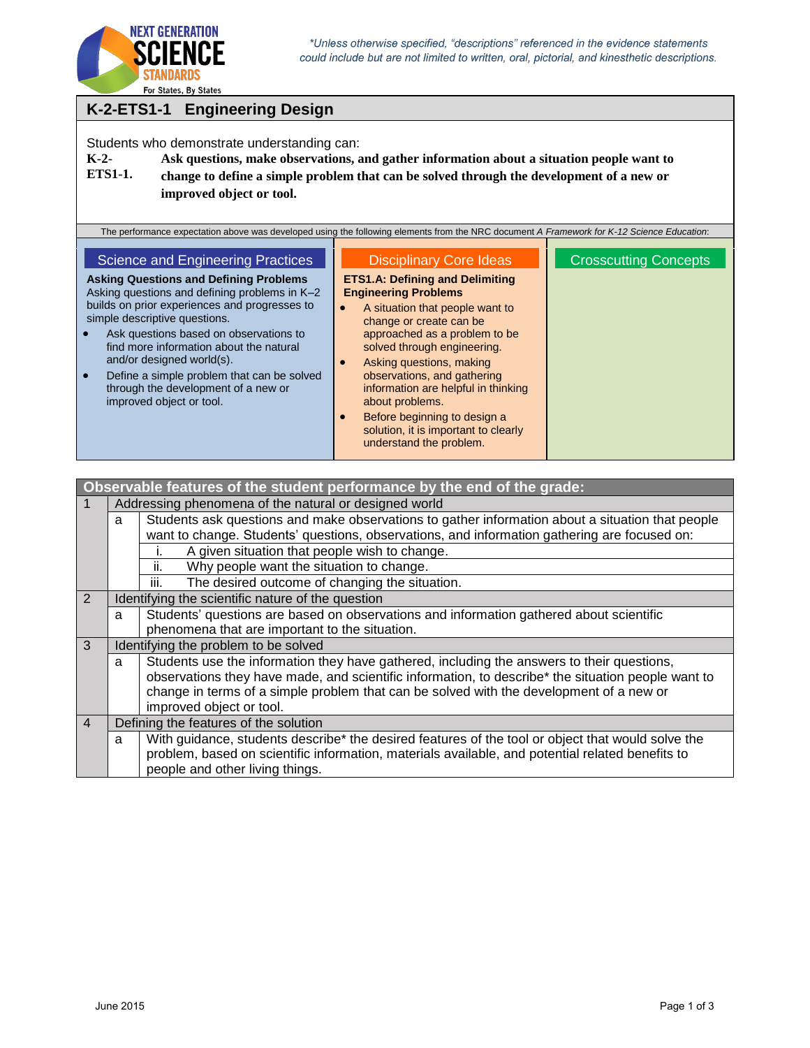

## **K-2-ETS1-1 Engineering Design**

Students who demonstrate understanding can:

**K-2- ETS1-1. Ask questions, make observations, and gather information about a situation people want to change to define a simple problem that can be solved through the development of a new or improved object or tool.**

|                | Observable features of the student performance by the end of the grade: |                                                                                                    |  |  |  |  |
|----------------|-------------------------------------------------------------------------|----------------------------------------------------------------------------------------------------|--|--|--|--|
|                |                                                                         | Addressing phenomena of the natural or designed world                                              |  |  |  |  |
|                | a                                                                       | Students ask questions and make observations to gather information about a situation that people   |  |  |  |  |
|                |                                                                         | want to change. Students' questions, observations, and information gathering are focused on:       |  |  |  |  |
|                |                                                                         | A given situation that people wish to change.<br>Τ.                                                |  |  |  |  |
|                |                                                                         | ii.<br>Why people want the situation to change.                                                    |  |  |  |  |
|                |                                                                         | The desired outcome of changing the situation.<br>Ш.                                               |  |  |  |  |
| 2              |                                                                         | Identifying the scientific nature of the question                                                  |  |  |  |  |
|                | a                                                                       | Students' questions are based on observations and information gathered about scientific            |  |  |  |  |
|                |                                                                         | phenomena that are important to the situation.                                                     |  |  |  |  |
| $\mathcal{R}$  |                                                                         | Identifying the problem to be solved                                                               |  |  |  |  |
|                | a                                                                       | Students use the information they have gathered, including the answers to their questions,         |  |  |  |  |
|                |                                                                         | observations they have made, and scientific information, to describe* the situation people want to |  |  |  |  |
|                |                                                                         | change in terms of a simple problem that can be solved with the development of a new or            |  |  |  |  |
|                |                                                                         | improved object or tool.                                                                           |  |  |  |  |
| $\overline{4}$ |                                                                         | Defining the features of the solution                                                              |  |  |  |  |
|                | a                                                                       | With guidance, students describe* the desired features of the tool or object that would solve the  |  |  |  |  |
|                |                                                                         | problem, based on scientific information, materials available, and potential related benefits to   |  |  |  |  |
|                |                                                                         | people and other living things.                                                                    |  |  |  |  |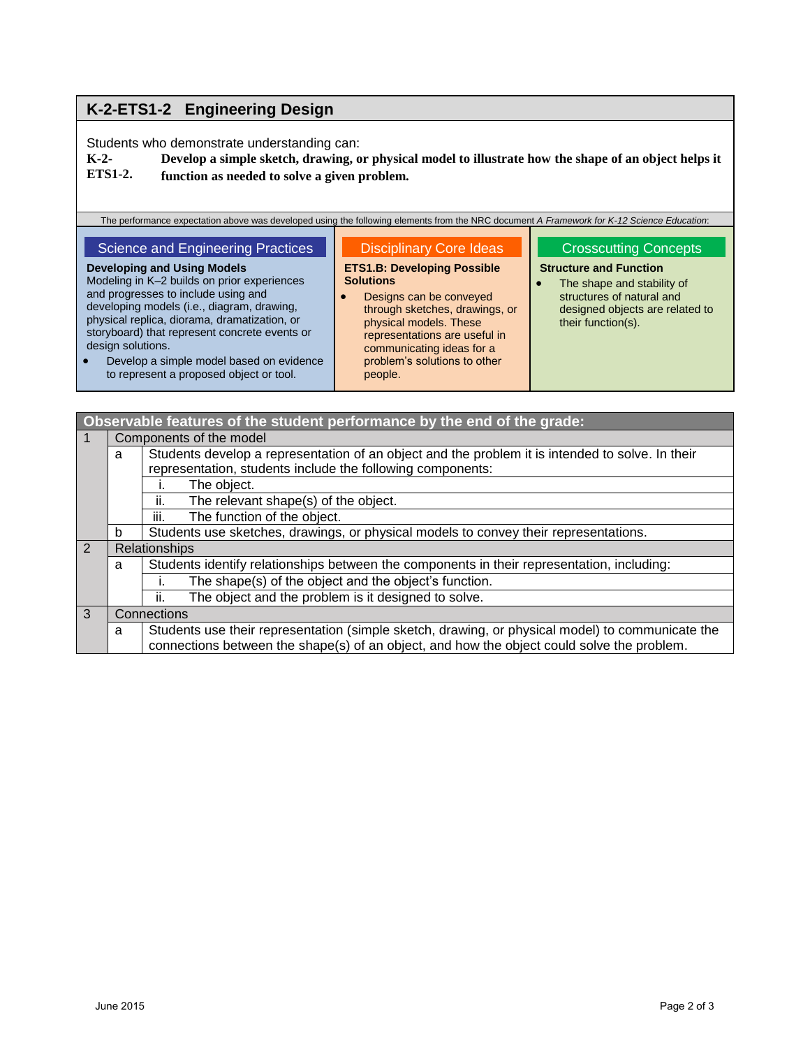## **K-2-ETS1-2 Engineering Design**

Students who demonstrate understanding can:

**K-2- ETS1-2. Develop a simple sketch, drawing, or physical model to illustrate how the shape of an object helps it function as needed to solve a given problem.**

The performance expectation above was developed using the following elements from the NRC document *A Framework for K-12 Science Education*:

#### Science and Engineering Practices **Developing and Using Models** Modeling in K–2 builds on prior experiences Disciplinary Core Ideas **ETS1.B: Developing Possible Solutions**

 Designs can be conveyed through sketches, drawings, or physical models. These representations are useful in communicating ideas for a problem's solutions to other people.

## Crosscutting Concepts

### **Structure and Function**

• The shape and stability of structures of natural and designed objects are related to their function(s).

 Develop a simple model based on evidence to represent a proposed object or tool.

and progresses to include using and developing models (i.e., diagram, drawing, physical replica, diorama, dramatization, or storyboard) that represent concrete events or

design solutions.

| Observable features of the student performance by the end of the grade: |   |                                                                                                  |  |  |  |
|-------------------------------------------------------------------------|---|--------------------------------------------------------------------------------------------------|--|--|--|
| $\vert$ 1                                                               |   | Components of the model                                                                          |  |  |  |
|                                                                         | a | Students develop a representation of an object and the problem it is intended to solve. In their |  |  |  |
|                                                                         |   | representation, students include the following components:                                       |  |  |  |
|                                                                         |   | The object.                                                                                      |  |  |  |
|                                                                         |   | The relevant shape(s) of the object.<br>Ш.                                                       |  |  |  |
|                                                                         |   | iii.<br>The function of the object.                                                              |  |  |  |
|                                                                         | b | Students use sketches, drawings, or physical models to convey their representations.             |  |  |  |
| $\boxed{2}$                                                             |   | Relationships                                                                                    |  |  |  |
|                                                                         | a | Students identify relationships between the components in their representation, including:       |  |  |  |
|                                                                         |   | The shape(s) of the object and the object's function.                                            |  |  |  |
|                                                                         |   | The object and the problem is it designed to solve.<br>ii.                                       |  |  |  |
| 3<br>Connections                                                        |   |                                                                                                  |  |  |  |
|                                                                         | a | Students use their representation (simple sketch, drawing, or physical model) to communicate the |  |  |  |
|                                                                         |   | connections between the shape(s) of an object, and how the object could solve the problem.       |  |  |  |